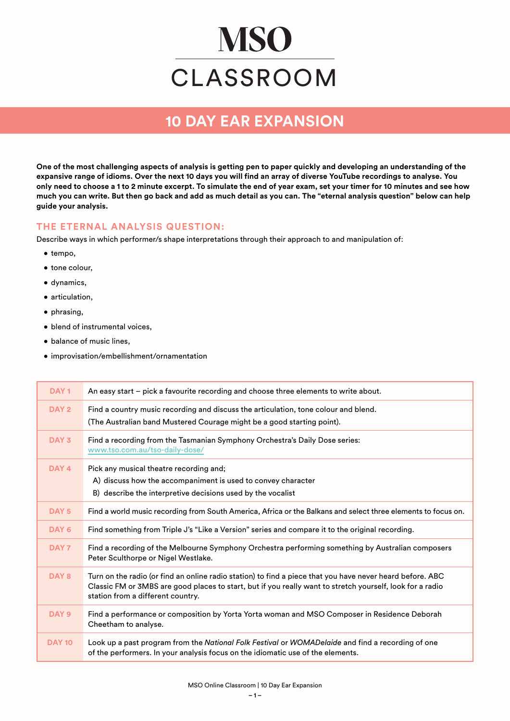# **MSO** CLASSROOM

## **10 DAY EAR EXPANSION**

**One of the most challenging aspects of analysis is getting pen to paper quickly and developing an understanding of the expansive range of idioms. Over the next 10 days you will find an array of diverse YouTube recordings to analyse. You only need to choose a 1 to 2 minute excerpt. To simulate the end of year exam, set your timer for 10 minutes and see how much you can write. But then go back and add as much detail as you can. The "eternal analysis question" below can help guide your analysis.**

#### **THE ETERNAL ANALYSIS QUESTION:**

Describe ways in which performer/s shape interpretations through their approach to and manipulation of:

- tempo,
- tone colour,
- dynamics,
- articulation,
- phrasing,
- blend of instrumental voices,
- balance of music lines,
- improvisation/embellishment/ornamentation

| DAY <sub>1</sub> | An easy start - pick a favourite recording and choose three elements to write about.                                                                                                                                                                        |
|------------------|-------------------------------------------------------------------------------------------------------------------------------------------------------------------------------------------------------------------------------------------------------------|
| DAY <sub>2</sub> | Find a country music recording and discuss the articulation, tone colour and blend.<br>(The Australian band Mustered Courage might be a good starting point).                                                                                               |
| DAY <sub>3</sub> | Find a recording from the Tasmanian Symphony Orchestra's Daily Dose series:<br>www.tso.com.au/tso-daily-dose/                                                                                                                                               |
| DAY 4            | Pick any musical theatre recording and;<br>A) discuss how the accompaniment is used to convey character<br>B) describe the interpretive decisions used by the vocalist                                                                                      |
| DAY <sub>5</sub> | Find a world music recording from South America, Africa or the Balkans and select three elements to focus on.                                                                                                                                               |
| DAY 6            | Find something from Triple J's "Like a Version" series and compare it to the original recording.                                                                                                                                                            |
| DAY <sub>7</sub> | Find a recording of the Melbourne Symphony Orchestra performing something by Australian composers<br>Peter Sculthorpe or Nigel Westlake.                                                                                                                    |
| DAY 8            | Turn on the radio (or find an online radio station) to find a piece that you have never heard before. ABC<br>Classic FM or 3MBS are good places to start, but if you really want to stretch yourself, look for a radio<br>station from a different country. |
| DAY 9            | Find a performance or composition by Yorta Yorta woman and MSO Composer in Residence Deborah<br>Cheetham to analyse.                                                                                                                                        |
| <b>DAY 10</b>    | Look up a past program from the National Folk Festival or WOMADelaide and find a recording of one<br>of the performers. In your analysis focus on the idiomatic use of the elements.                                                                        |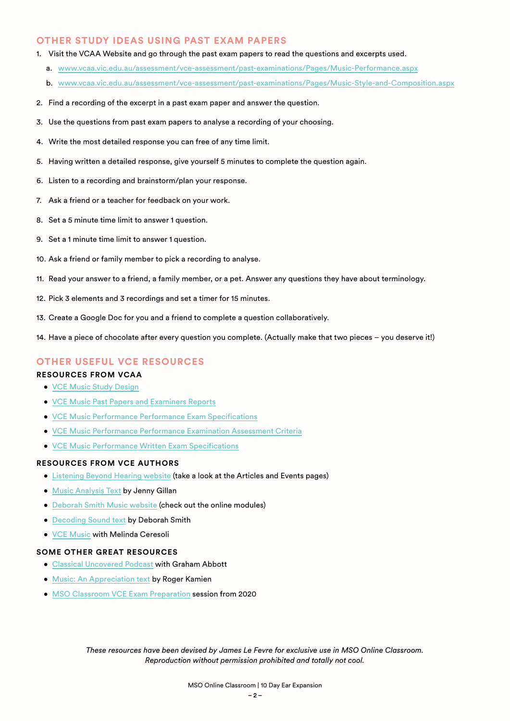#### **OTHER STUDY IDEAS USING PAST EXAM PAPERS**

- 1. Visit the VCAA Website and go through the past exam papers to read the questions and excerpts used.
	- a. [www.vcaa.vic.edu.au/assessment/vce-assessment/past-examinations/Pages/Music-Performance.aspx](https://www.vcaa.vic.edu.au/assessment/vce-assessment/past-examinations/Pages/Music-Performance.aspx)
	- b. [www.vcaa.vic.edu.au/assessment/vce-assessment/past-examinations/Pages/Music-Style-and-Composition.aspx](https://www.vcaa.vic.edu.au/assessment/vce-assessment/past-examinations/Pages/Music-Style-and-Composition.aspx)
- 2. Find a recording of the excerpt in a past exam paper and answer the question.
- 3. Use the questions from past exam papers to analyse a recording of your choosing.
- 4. Write the most detailed response you can free of any time limit.
- 5. Having written a detailed response, give yourself 5 minutes to complete the question again.
- 6. Listen to a recording and brainstorm/plan your response.
- 7. Ask a friend or a teacher for feedback on your work.
- 8. Set a 5 minute time limit to answer 1 question.
- 9. Set a 1 minute time limit to answer 1 question.
- 10. Ask a friend or family member to pick a recording to analyse.
- 11. Read your answer to a friend, a family member, or a pet. Answer any questions they have about terminology.
- 12. Pick 3 elements and 3 recordings and set a timer for 15 minutes.
- 13. Create a Google Doc for you and a friend to complete a question collaboratively.
- 14. Have a piece of chocolate after every question you complete. (Actually make that two pieces you deserve it!)

#### **OTHER USEFUL VCE RESOURCES**

#### **RESOURCES FROM VCAA**

- [VCE Music Study Design](https://www.vcaa.vic.edu.au/Documents/vce/music/2017MusicSD.pdf)
- [VCE Music Past Papers and Examiners Reports](https://www.vcaa.vic.edu.au/assessment/vce-assessment/past-examinations/Pages/Music-Performance.aspx)
- [VCE Music Performance Performance Exam Specifications](https://www.vcaa.vic.edu.au/Documents/exams/music/musicperf-perfexam-specs-w.pdf)
- [VCE Music Performance Performance Examination Assessment Criteria](https://www.vcaa.vic.edu.au/Documents/exams/music/musicperf-perfexam-crit-w.pdf)
- [VCE Music Performance Written Exam Specifications](https://www.vcaa.vic.edu.au/Documents/exams/music/musicperf-specs-w.pdf)

#### **RESOURCES FROM VCE AUTHORS**

- [Listening Beyond Hearing website](https://listeningbeyondhearing.com.au/) (take a look at the Articles and Events pages)
- [Music Analysis Text](https://listeningbeyondhearing.com.au/product/music-analysis-listening-beyond-hearing-4th-edition/) by Jenny Gillan
- [Deborah Smith Music website](https://dsmusic.com.au/) (check out the online modules)
- [Decoding Sound text](https://dsmusic.com.au/shop/) by Deborah Smith
- [VCE Music](https://www.melindaceresoli.com.au/) with Melinda Ceresoli

#### **SOME OTHER GREAT RESOURCES**

- [Classical Uncovered Podcast](https://open.spotify.com/playlist/0g9ZRBAkBMMxlqmhdAE12U?si=2a810c3d59f94446&nd=1) with Graham Abbott
- [Music: An Appreciation text](https://www.mheducation.com/highered/product/music-appreciation-kamien/M9781260719345.html) by Roger Kamien
- [MSO Classroom VCE Exam Preparation](https://www.youtube.com/watch?v=FdPrXH7Lang) session from 2020

*These resources have been devised by James Le Fevre for exclusive use in MSO Online Classroom. Reproduction without permission prohibited and totally not cool.*